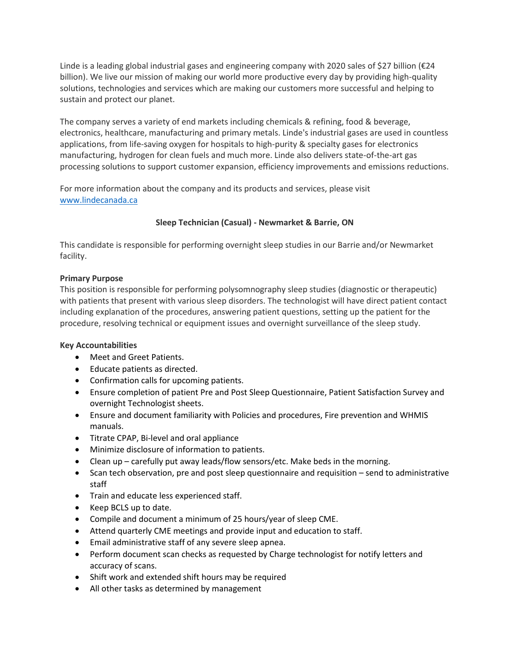Linde is a leading global industrial gases and engineering company with 2020 sales of \$27 billion (€24 billion). We live our mission of making our world more productive every day by providing high-quality solutions, technologies and services which are making our customers more successful and helping to sustain and protect our planet.

The company serves a variety of end markets including chemicals & refining, food & beverage, electronics, healthcare, manufacturing and primary metals. Linde's industrial gases are used in countless applications, from life-saving oxygen for hospitals to high-purity & specialty gases for electronics manufacturing, hydrogen for clean fuels and much more. Linde also delivers state-of-the-art gas processing solutions to support customer expansion, efficiency improvements and emissions reductions.

For more information about the company and its products and services, please visit [www.lindecanada.ca](http://www.lindecanada.ca/)

# **Sleep Technician (Casual) - Newmarket & Barrie, ON**

This candidate is responsible for performing overnight sleep studies in our Barrie and/or Newmarket facility.

## **Primary Purpose**

This position is responsible for performing polysomnography sleep studies (diagnostic or therapeutic) with patients that present with various sleep disorders. The technologist will have direct patient contact including explanation of the procedures, answering patient questions, setting up the patient for the procedure, resolving technical or equipment issues and overnight surveillance of the sleep study.

## **Key Accountabilities**

- Meet and Greet Patients.
- Educate patients as directed.
- Confirmation calls for upcoming patients.
- Ensure completion of patient Pre and Post Sleep Questionnaire, Patient Satisfaction Survey and overnight Technologist sheets.
- Ensure and document familiarity with Policies and procedures, Fire prevention and WHMIS manuals.
- Titrate CPAP, Bi-level and oral appliance
- Minimize disclosure of information to patients.
- Clean up carefully put away leads/flow sensors/etc. Make beds in the morning.
- Scan tech observation, pre and post sleep questionnaire and requisition send to administrative staff
- Train and educate less experienced staff.
- Keep BCLS up to date.
- Compile and document a minimum of 25 hours/year of sleep CME.
- Attend quarterly CME meetings and provide input and education to staff.
- Email administrative staff of any severe sleep apnea.
- Perform document scan checks as requested by Charge technologist for notify letters and accuracy of scans.
- Shift work and extended shift hours may be required
- All other tasks as determined by management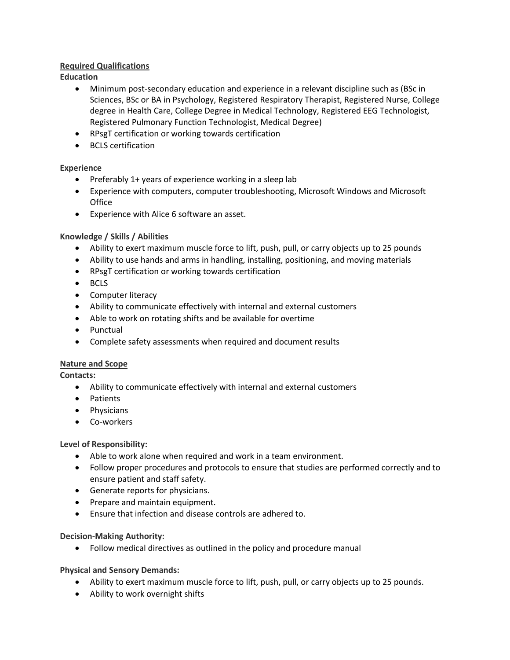## **Required Qualifications**

**Education**

- Minimum post-secondary education and experience in a relevant discipline such as (BSc in Sciences, BSc or BA in Psychology, Registered Respiratory Therapist, Registered Nurse, College degree in Health Care, College Degree in Medical Technology, Registered EEG Technologist, Registered Pulmonary Function Technologist, Medical Degree)
- RPsgT certification or working towards certification
- BCLS certification

## **Experience**

- Preferably 1+ years of experience working in a sleep lab
- Experience with computers, computer troubleshooting, Microsoft Windows and Microsoft **Office**
- Experience with Alice 6 software an asset.

## **Knowledge / Skills / Abilities**

- Ability to exert maximum muscle force to lift, push, pull, or carry objects up to 25 pounds
- Ability to use hands and arms in handling, installing, positioning, and moving materials
- RPsgT certification or working towards certification
- BCLS
- Computer literacy
- Ability to communicate effectively with internal and external customers
- Able to work on rotating shifts and be available for overtime
- Punctual
- Complete safety assessments when required and document results

### **Nature and Scope**

**Contacts:**

- Ability to communicate effectively with internal and external customers
- Patients
- Physicians
- Co-workers

### **Level of Responsibility:**

- Able to work alone when required and work in a team environment.
- Follow proper procedures and protocols to ensure that studies are performed correctly and to ensure patient and staff safety.
- Generate reports for physicians.
- Prepare and maintain equipment.
- Ensure that infection and disease controls are adhered to.

### **Decision-Making Authority:**

• Follow medical directives as outlined in the policy and procedure manual

### **Physical and Sensory Demands:**

- Ability to exert maximum muscle force to lift, push, pull, or carry objects up to 25 pounds.
- Ability to work overnight shifts